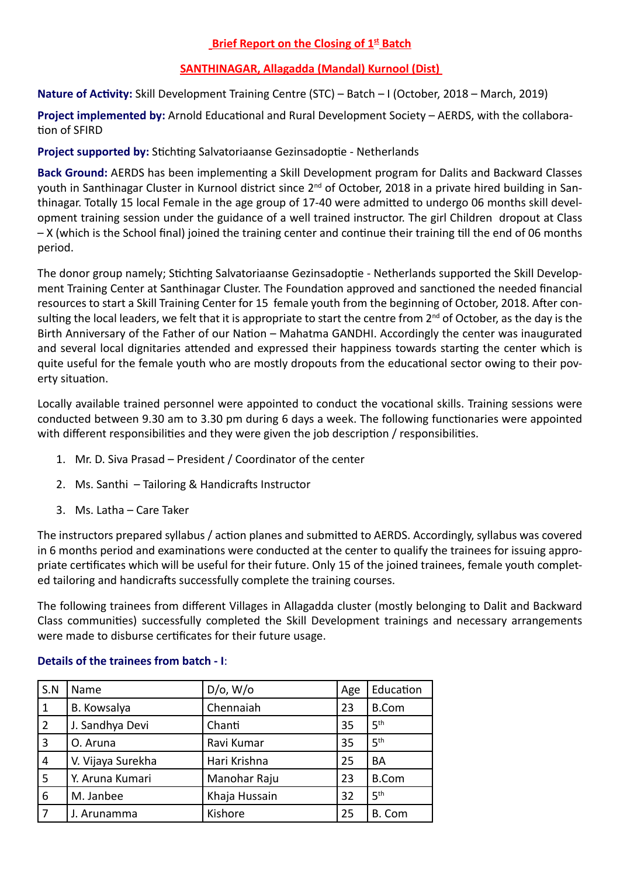## **Brief Report on the Closing of 1st Batch**

# **SANTHINAGAR, Allagadda (Mandal) Kurnool (Dist)**

**Nature of Activity:** Skill Development Training Centre (STC) – Batch – I (October, 2018 – March, 2019)

**Project implemented by:** Arnold Educational and Rural Development Society – AERDS, with the collaboration of SFIRD

### **Project supported by:** Stichting Salvatoriaanse Gezinsadoptie - Netherlands

**Back Ground:** AERDS has been implementing a Skill Development program for Dalits and Backward Classes youth in Santhinagar Cluster in Kurnool district since 2<sup>nd</sup> of October, 2018 in a private hired building in Santhinagar. Totally 15 local Female in the age group of 17-40 were admitted to undergo 06 months skill development training session under the guidance of a well trained instructor. The girl Children dropout at Class – X (which is the School final) joined the training center and continue their training till the end of 06 months period.

The donor group namely; Stichting Salvatoriaanse Gezinsadoptie - Netherlands supported the Skill Development Training Center at Santhinagar Cluster. The Foundation approved and sanctioned the needed financial resources to start a Skill Training Center for 15 female youth from the beginning of October, 2018. After consulting the local leaders, we felt that it is appropriate to start the centre from 2<sup>nd</sup> of October, as the day is the Birth Anniversary of the Father of our Nation – Mahatma GANDHI. Accordingly the center was inaugurated and several local dignitaries attended and expressed their happiness towards starting the center which is quite useful for the female youth who are mostly dropouts from the educational sector owing to their poverty situation.

Locally available trained personnel were appointed to conduct the vocational skills. Training sessions were conducted between 9.30 am to 3.30 pm during 6 days a week. The following functionaries were appointed with different responsibilities and they were given the job description / responsibilities.

- 1. Mr. D. Siva Prasad President / Coordinator of the center
- 2. Ms. Santhi Tailoring & Handicrafts Instructor
- 3. Ms. Latha Care Taker

The instructors prepared syllabus / action planes and submitted to AERDS. Accordingly, syllabus was covered in 6 months period and examinations were conducted at the center to qualify the trainees for issuing appropriate certificates which will be useful for their future. Only 15 of the joined trainees, female youth completed tailoring and handicrafts successfully complete the training courses.

The following trainees from different Villages in Allagadda cluster (mostly belonging to Dalit and Backward Class communities) successfully completed the Skill Development trainings and necessary arrangements were made to disburse certificates for their future usage.

| S.N            | Name              | $D/O$ , W/o   | Age | Education       |
|----------------|-------------------|---------------|-----|-----------------|
| 1              | B. Kowsalya       | Chennaiah     | 23  | <b>B.Com</b>    |
| $\overline{2}$ | J. Sandhya Devi   | Chanti        | 35  | 5 <sup>th</sup> |
| 3              | O. Aruna          | Ravi Kumar    | 35  | 5 <sup>th</sup> |
| 4              | V. Vijaya Surekha | Hari Krishna  | 25  | BA              |
| 5              | Y. Aruna Kumari   | Manohar Raju  | 23  | <b>B.Com</b>    |
| 6              | M. Janbee         | Khaja Hussain | 32  | 5 <sup>th</sup> |
| 7              | J. Arunamma       | Kishore       | 25  | B. Com          |

#### **Details of the trainees from batch - I**: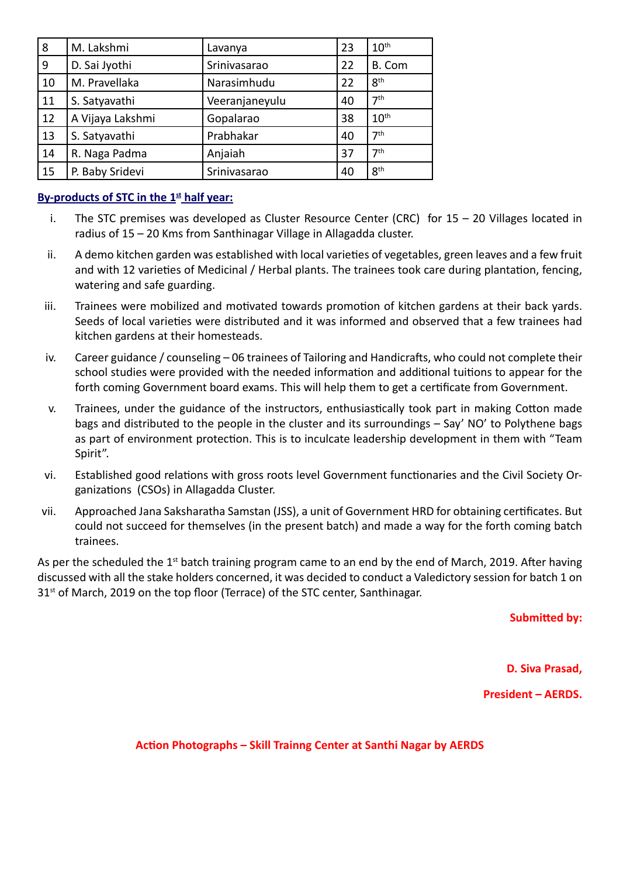| 8  | M. Lakshmi       | Lavanya        | 23 | 10 <sup>th</sup> |
|----|------------------|----------------|----|------------------|
| 9  | D. Sai Jyothi    | Srinivasarao   | 22 | B. Com           |
| 10 | M. Pravellaka    | Narasimhudu    | 22 | 8 <sup>th</sup>  |
| 11 | S. Satyavathi    | Veeranjaneyulu | 40 | 7 <sup>th</sup>  |
| 12 | A Vijaya Lakshmi | Gopalarao      | 38 | 10 <sup>th</sup> |
| 13 | S. Satyavathi    | Prabhakar      | 40 | 7 <sup>th</sup>  |
| 14 | R. Naga Padma    | Anjaiah        | 37 | 7 <sup>th</sup>  |
| 15 | P. Baby Sridevi  | Srinivasarao   | 40 | 8 <sup>th</sup>  |

### **By-products of STC in the 1st half year:**

- i. The STC premises was developed as Cluster Resource Center (CRC) for 15 20 Villages located in radius of 15 – 20 Kms from Santhinagar Village in Allagadda cluster.
- ii. A demo kitchen garden was established with local varieties of vegetables, green leaves and a few fruit and with 12 varieties of Medicinal / Herbal plants. The trainees took care during plantation, fencing, watering and safe guarding.
- iii. Trainees were mobilized and motivated towards promotion of kitchen gardens at their back yards. Seeds of local varieties were distributed and it was informed and observed that a few trainees had kitchen gardens at their homesteads.
- iv. Career guidance / counseling 06 trainees of Tailoring and Handicrafts, who could not complete their school studies were provided with the needed information and additional tuitions to appear for the forth coming Government board exams. This will help them to get a certificate from Government.
- v. Trainees, under the guidance of the instructors, enthusiastically took part in making Cotton made bags and distributed to the people in the cluster and its surroundings – Say' NO' to Polythene bags as part of environment protection. This is to inculcate leadership development in them with "Team Spirit".
- vi. Established good relations with gross roots level Government functionaries and the Civil Society Organizations (CSOs) in Allagadda Cluster.
- vii. Approached Jana Saksharatha Samstan (JSS), a unit of Government HRD for obtaining certificates. But could not succeed for themselves (in the present batch) and made a way for the forth coming batch trainees.

As per the scheduled the 1<sup>st</sup> batch training program came to an end by the end of March, 2019. After having discussed with all the stake holders concerned, it was decided to conduct a Valedictory session for batch 1 on 31<sup>st</sup> of March, 2019 on the top floor (Terrace) of the STC center, Santhinagar.

**Submitted by:**

**D. Siva Prasad,**

**President – AERDS.**

**Action Photographs – Skill Trainng Center at Santhi Nagar by AERDS**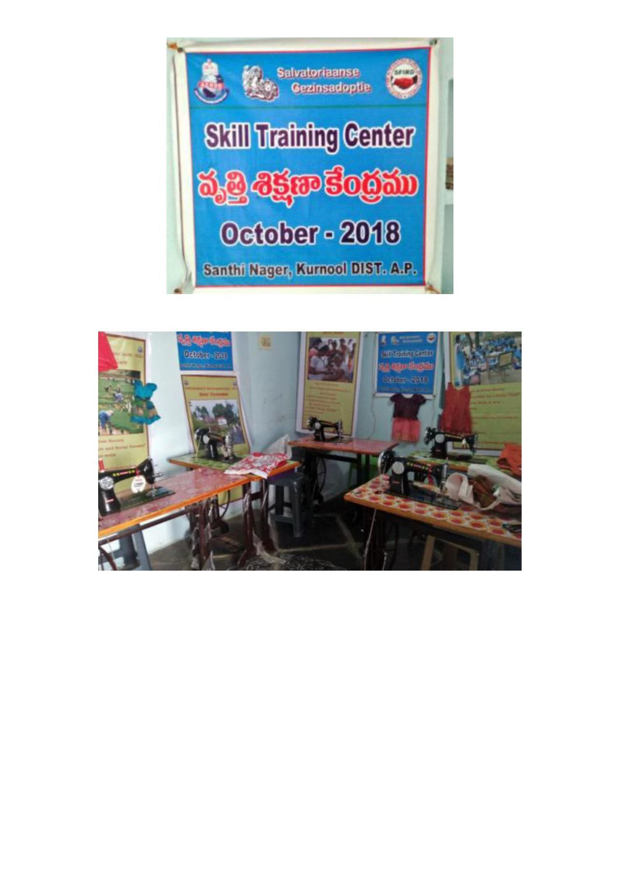

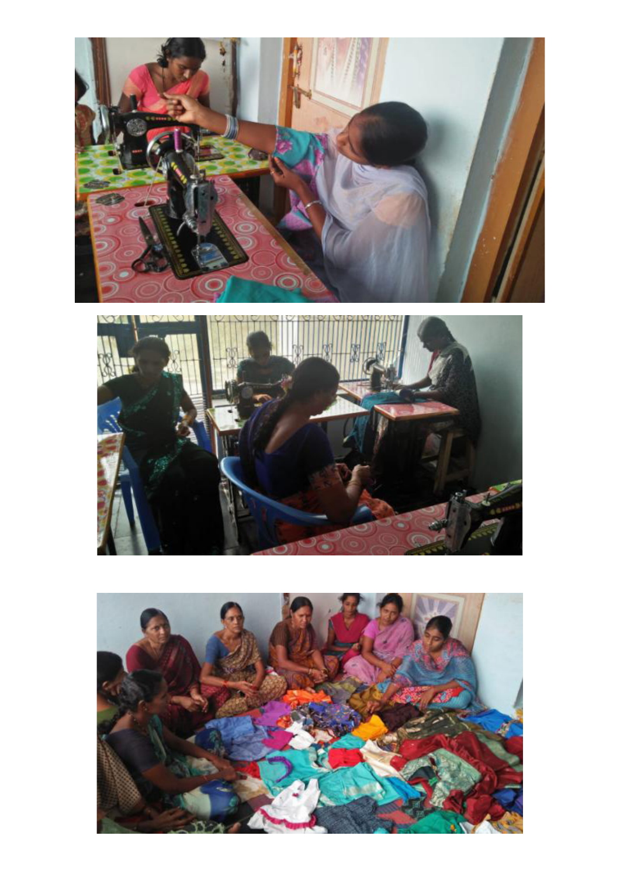